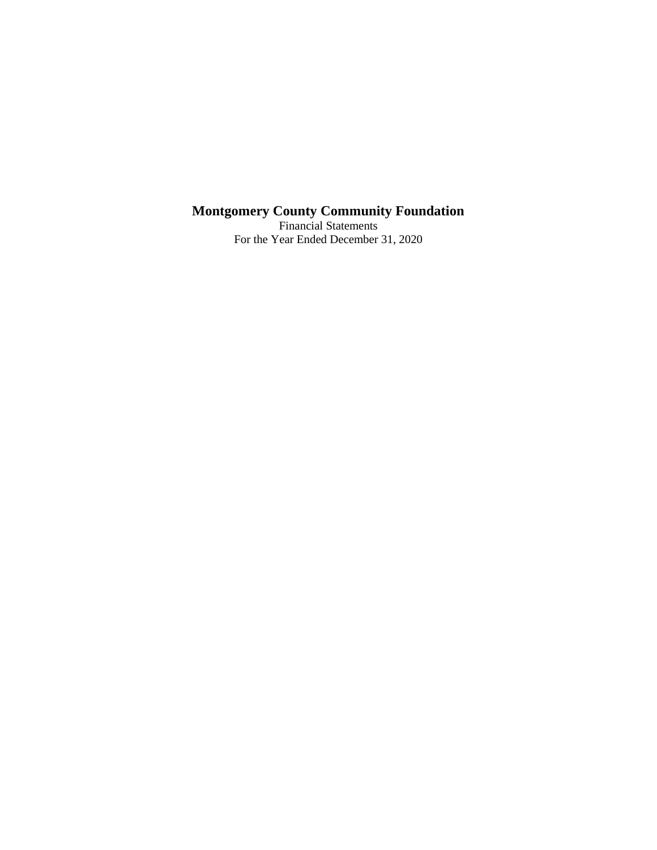## **Montgomery County Community Foundation**

Financial Statements For the Year Ended December 31, 2020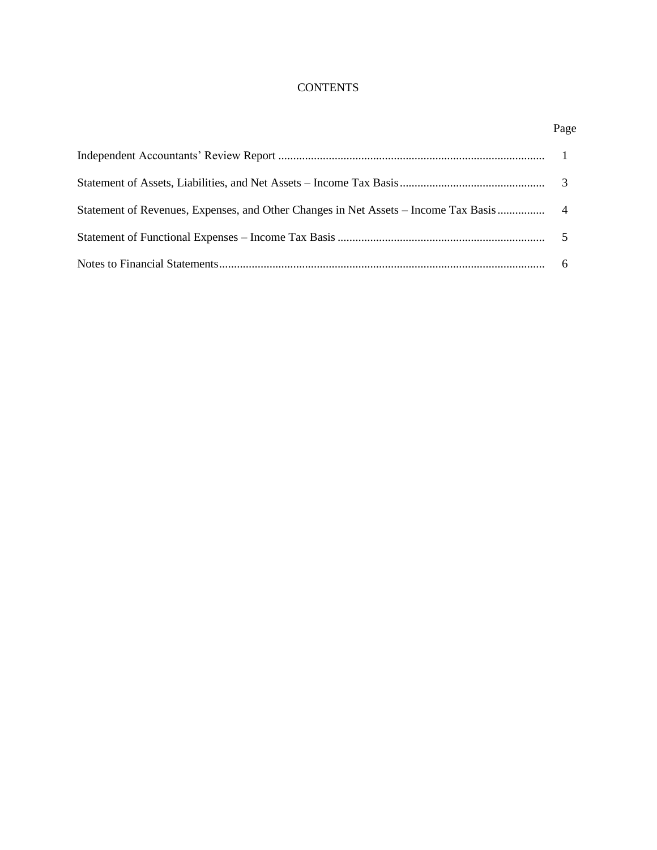## **CONTENTS**

## Page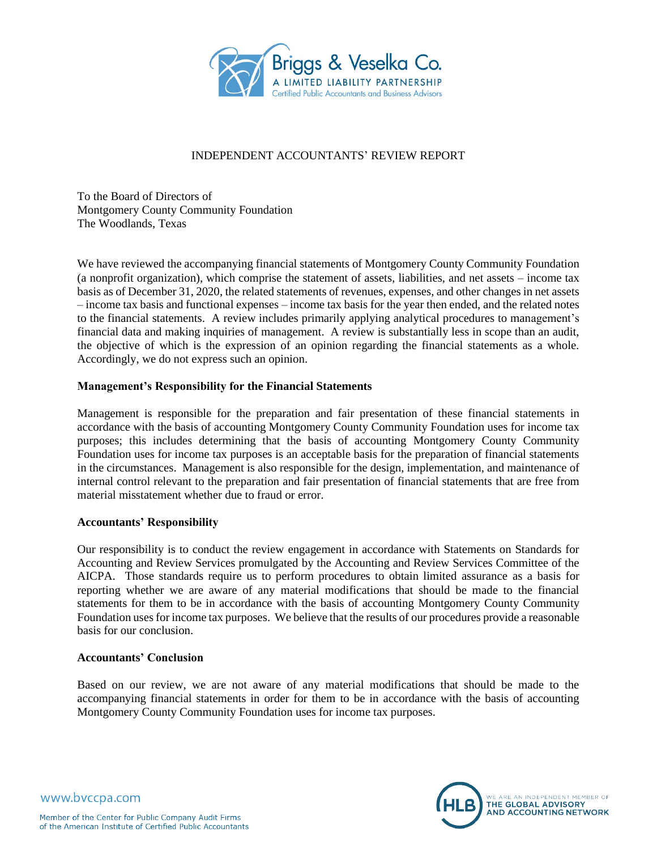

## INDEPENDENT ACCOUNTANTS' REVIEW REPORT

To the Board of Directors of Montgomery County Community Foundation The Woodlands, Texas

We have reviewed the accompanying financial statements of Montgomery County Community Foundation (a nonprofit organization), which comprise the statement of assets, liabilities, and net assets – income tax basis as of December 31, 2020, the related statements of revenues, expenses, and other changes in net assets – income tax basis and functional expenses – income tax basis for the year then ended, and the related notes to the financial statements. A review includes primarily applying analytical procedures to management's financial data and making inquiries of management. A review is substantially less in scope than an audit, the objective of which is the expression of an opinion regarding the financial statements as a whole. Accordingly, we do not express such an opinion.

## **Management's Responsibility for the Financial Statements**

Management is responsible for the preparation and fair presentation of these financial statements in accordance with the basis of accounting Montgomery County Community Foundation uses for income tax purposes; this includes determining that the basis of accounting Montgomery County Community Foundation uses for income tax purposes is an acceptable basis for the preparation of financial statements in the circumstances. Management is also responsible for the design, implementation, and maintenance of internal control relevant to the preparation and fair presentation of financial statements that are free from material misstatement whether due to fraud or error.

## **Accountants' Responsibility**

Our responsibility is to conduct the review engagement in accordance with Statements on Standards for Accounting and Review Services promulgated by the Accounting and Review Services Committee of the AICPA. Those standards require us to perform procedures to obtain limited assurance as a basis for reporting whether we are aware of any material modifications that should be made to the financial statements for them to be in accordance with the basis of accounting Montgomery County Community Foundation uses for income tax purposes. We believe that the results of our procedures provide a reasonable basis for our conclusion.

#### **Accountants' Conclusion**

Based on our review, we are not aware of any material modifications that should be made to the accompanying financial statements in order for them to be in accordance with the basis of accounting Montgomery County Community Foundation uses for income tax purposes.



www.bvccpa.com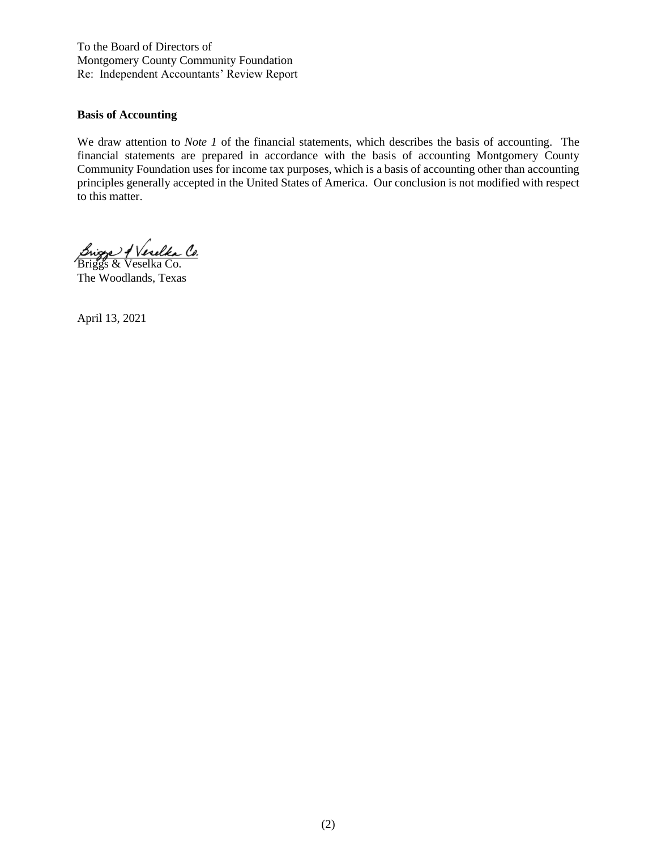To the Board of Directors of Montgomery County Community Foundation Re: Independent Accountants' Review Report

## **Basis of Accounting**

We draw attention to *Note 1* of the financial statements, which describes the basis of accounting. The financial statements are prepared in accordance with the basis of accounting Montgomery County Community Foundation uses for income tax purposes, which is a basis of accounting other than accounting principles generally accepted in the United States of America. Our conclusion is not modified with respect to this matter.

Briggs & Verelka Co.<br>Briggs & Veselka Co.

The Woodlands, Texas

April 13, 2021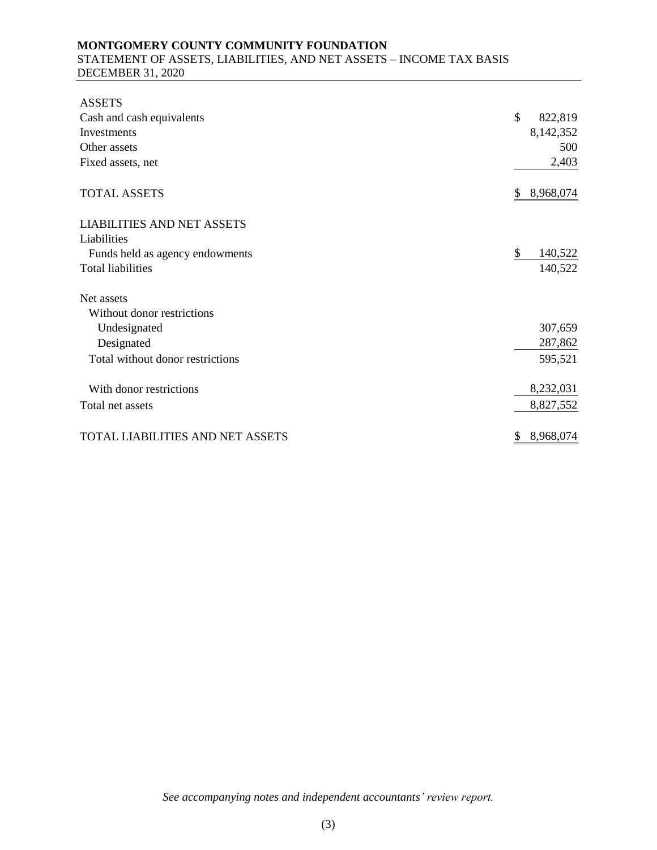# **MONTGOMERY COUNTY COMMUNITY FOUNDATION** STATEMENT OF ASSETS, LIABILITIES, AND NET ASSETS – INCOME TAX BASIS

DECEMBER 31, 2020

| <b>ASSETS</b>                     |    |           |
|-----------------------------------|----|-----------|
| Cash and cash equivalents         | \$ | 822,819   |
| Investments                       |    | 8,142,352 |
| Other assets                      |    | 500       |
| Fixed assets, net                 |    | 2,403     |
| <b>TOTAL ASSETS</b>               | \$ | 8,968,074 |
| <b>LIABILITIES AND NET ASSETS</b> |    |           |
| Liabilities                       |    |           |
| Funds held as agency endowments   | \$ | 140,522   |
| <b>Total liabilities</b>          |    | 140,522   |
| Net assets                        |    |           |
| Without donor restrictions        |    |           |
| Undesignated                      |    | 307,659   |
| Designated                        |    | 287,862   |
| Total without donor restrictions  |    | 595,521   |
| With donor restrictions           |    | 8,232,031 |
| Total net assets                  |    | 8,827,552 |
| TOTAL LIABILITIES AND NET ASSETS  | S  | 8,968,074 |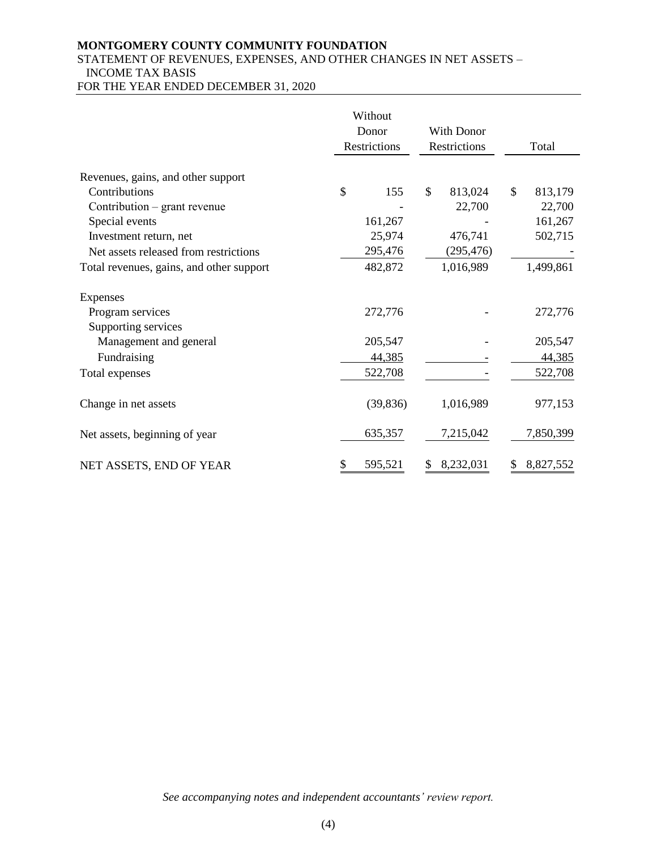#### **MONTGOMERY COUNTY COMMUNITY FOUNDATION**

# STATEMENT OF REVENUES, EXPENSES, AND OTHER CHANGES IN NET ASSETS –

## INCOME TAX BASIS

FOR THE YEAR ENDED DECEMBER 31, 2020

|                                          | Without<br>Donor<br>Restrictions |           | <b>With Donor</b><br>Restrictions |            | Total         |
|------------------------------------------|----------------------------------|-----------|-----------------------------------|------------|---------------|
| Revenues, gains, and other support       |                                  |           |                                   |            |               |
| Contributions                            | $\mathcal{S}$                    | 155       | \$                                | 813,024    | \$<br>813,179 |
| Contribution – grant revenue             |                                  |           |                                   | 22,700     | 22,700        |
| Special events                           |                                  | 161,267   |                                   |            | 161,267       |
| Investment return, net                   |                                  | 25,974    |                                   | 476,741    | 502,715       |
| Net assets released from restrictions    |                                  | 295,476   |                                   | (295, 476) |               |
| Total revenues, gains, and other support |                                  | 482,872   |                                   | 1,016,989  | 1,499,861     |
| <b>Expenses</b>                          |                                  |           |                                   |            |               |
| Program services                         |                                  | 272,776   |                                   |            | 272,776       |
| Supporting services                      |                                  |           |                                   |            |               |
| Management and general                   |                                  | 205,547   |                                   |            | 205,547       |
| Fundraising                              |                                  | 44,385    |                                   |            | 44,385        |
| Total expenses                           |                                  | 522,708   |                                   |            | 522,708       |
| Change in net assets                     |                                  | (39, 836) |                                   | 1,016,989  | 977,153       |
| Net assets, beginning of year            |                                  | 635,357   |                                   | 7,215,042  | 7,850,399     |
| NET ASSETS, END OF YEAR                  |                                  | 595,521   | \$                                | 8,232,031  | 8,827,552     |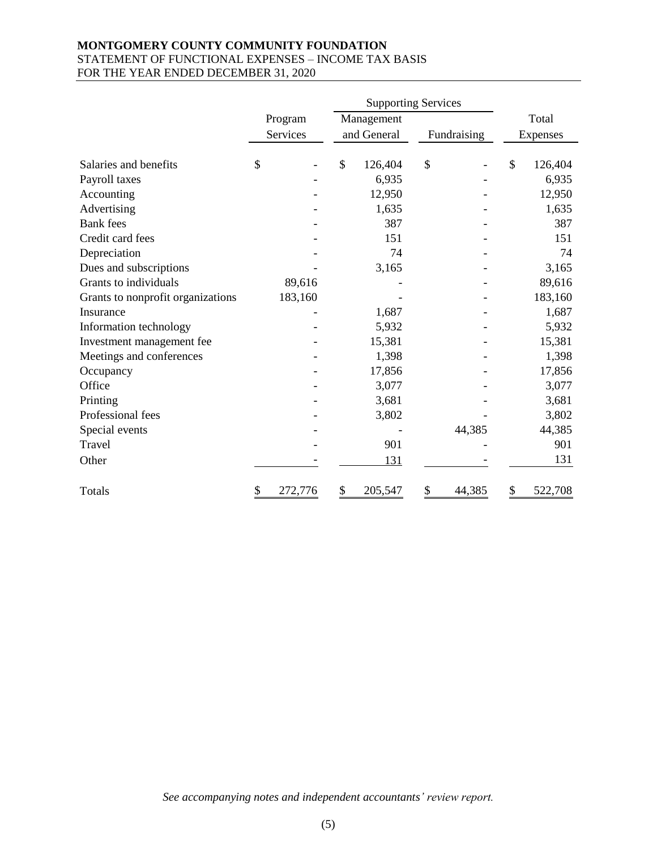## **MONTGOMERY COUNTY COMMUNITY FOUNDATION** STATEMENT OF FUNCTIONAL EXPENSES – INCOME TAX BASIS FOR THE YEAR ENDED DECEMBER 31, 2020

|                                   |               |          | <b>Supporting Services</b> |         |             |        |               |         |
|-----------------------------------|---------------|----------|----------------------------|---------|-------------|--------|---------------|---------|
|                                   |               | Program  | Management                 |         |             |        | Total         |         |
|                                   |               | Services | and General                |         | Fundraising |        | Expenses      |         |
|                                   |               |          |                            |         |             |        |               |         |
| Salaries and benefits             | $\mathcal{S}$ |          | \$                         | 126,404 | \$          |        | $\mathcal{S}$ | 126,404 |
| Payroll taxes                     |               |          |                            | 6,935   |             |        |               | 6,935   |
| Accounting                        |               |          |                            | 12,950  |             |        |               | 12,950  |
| Advertising                       |               |          |                            | 1,635   |             |        |               | 1,635   |
| <b>Bank</b> fees                  |               |          |                            | 387     |             |        |               | 387     |
| Credit card fees                  |               |          |                            | 151     |             |        |               | 151     |
| Depreciation                      |               |          |                            | 74      |             |        |               | 74      |
| Dues and subscriptions            |               |          |                            | 3,165   |             |        |               | 3,165   |
| Grants to individuals             |               | 89,616   |                            |         |             |        |               | 89,616  |
| Grants to nonprofit organizations |               | 183,160  |                            |         |             |        |               | 183,160 |
| Insurance                         |               |          |                            | 1,687   |             |        |               | 1,687   |
| Information technology            |               |          |                            | 5,932   |             |        |               | 5,932   |
| Investment management fee         |               |          |                            | 15,381  |             |        |               | 15,381  |
| Meetings and conferences          |               |          |                            | 1,398   |             |        |               | 1,398   |
| Occupancy                         |               |          |                            | 17,856  |             |        |               | 17,856  |
| Office                            |               |          |                            | 3,077   |             |        |               | 3,077   |
| Printing                          |               |          |                            | 3,681   |             |        |               | 3,681   |
| Professional fees                 |               |          |                            | 3,802   |             |        |               | 3,802   |
| Special events                    |               |          |                            |         |             | 44,385 |               | 44,385  |
| Travel                            |               |          |                            | 901     |             |        |               | 901     |
| Other                             |               |          |                            | 131     |             |        |               | 131     |
| Totals                            | \$            | 272,776  | \$                         | 205,547 | \$          | 44,385 | S             | 522,708 |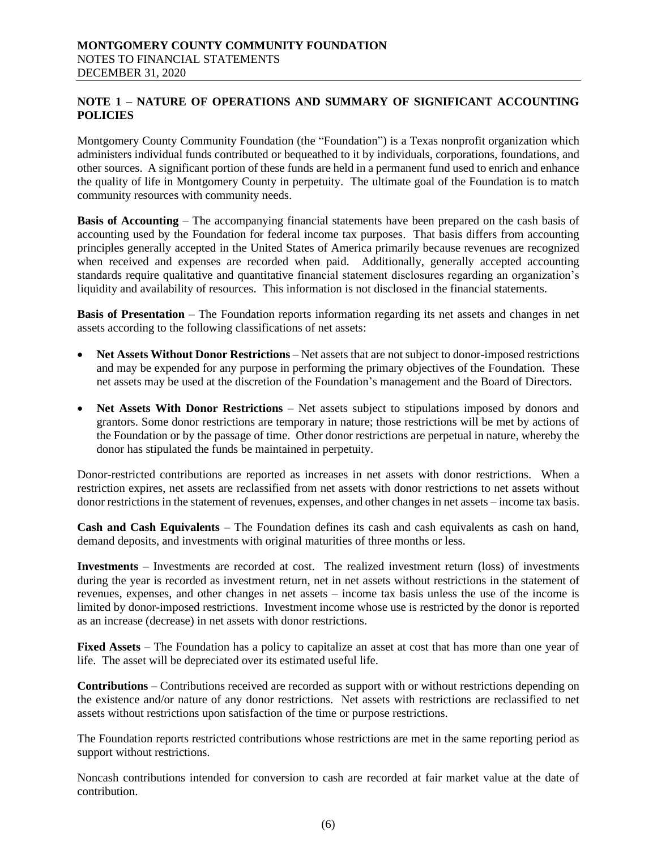## **NOTE 1 – NATURE OF OPERATIONS AND SUMMARY OF SIGNIFICANT ACCOUNTING POLICIES**

Montgomery County Community Foundation (the "Foundation") is a Texas nonprofit organization which administers individual funds contributed or bequeathed to it by individuals, corporations, foundations, and other sources. A significant portion of these funds are held in a permanent fund used to enrich and enhance the quality of life in Montgomery County in perpetuity. The ultimate goal of the Foundation is to match community resources with community needs.

**Basis of Accounting** – The accompanying financial statements have been prepared on the cash basis of accounting used by the Foundation for federal income tax purposes. That basis differs from accounting principles generally accepted in the United States of America primarily because revenues are recognized when received and expenses are recorded when paid. Additionally, generally accepted accounting standards require qualitative and quantitative financial statement disclosures regarding an organization's liquidity and availability of resources. This information is not disclosed in the financial statements.

**Basis of Presentation** – The Foundation reports information regarding its net assets and changes in net assets according to the following classifications of net assets:

- **Net Assets Without Donor Restrictions** Net assets that are not subject to donor-imposed restrictions and may be expended for any purpose in performing the primary objectives of the Foundation. These net assets may be used at the discretion of the Foundation's management and the Board of Directors.
- **Net Assets With Donor Restrictions** Net assets subject to stipulations imposed by donors and grantors. Some donor restrictions are temporary in nature; those restrictions will be met by actions of the Foundation or by the passage of time. Other donor restrictions are perpetual in nature, whereby the donor has stipulated the funds be maintained in perpetuity.

Donor-restricted contributions are reported as increases in net assets with donor restrictions. When a restriction expires, net assets are reclassified from net assets with donor restrictions to net assets without donor restrictions in the statement of revenues, expenses, and other changes in net assets – income tax basis.

**Cash and Cash Equivalents** – The Foundation defines its cash and cash equivalents as cash on hand, demand deposits, and investments with original maturities of three months or less.

**Investments** – Investments are recorded at cost. The realized investment return (loss) of investments during the year is recorded as investment return, net in net assets without restrictions in the statement of revenues, expenses, and other changes in net assets – income tax basis unless the use of the income is limited by donor-imposed restrictions. Investment income whose use is restricted by the donor is reported as an increase (decrease) in net assets with donor restrictions.

**Fixed Assets** – The Foundation has a policy to capitalize an asset at cost that has more than one year of life. The asset will be depreciated over its estimated useful life.

**Contributions** – Contributions received are recorded as support with or without restrictions depending on the existence and/or nature of any donor restrictions. Net assets with restrictions are reclassified to net assets without restrictions upon satisfaction of the time or purpose restrictions.

The Foundation reports restricted contributions whose restrictions are met in the same reporting period as support without restrictions.

Noncash contributions intended for conversion to cash are recorded at fair market value at the date of contribution.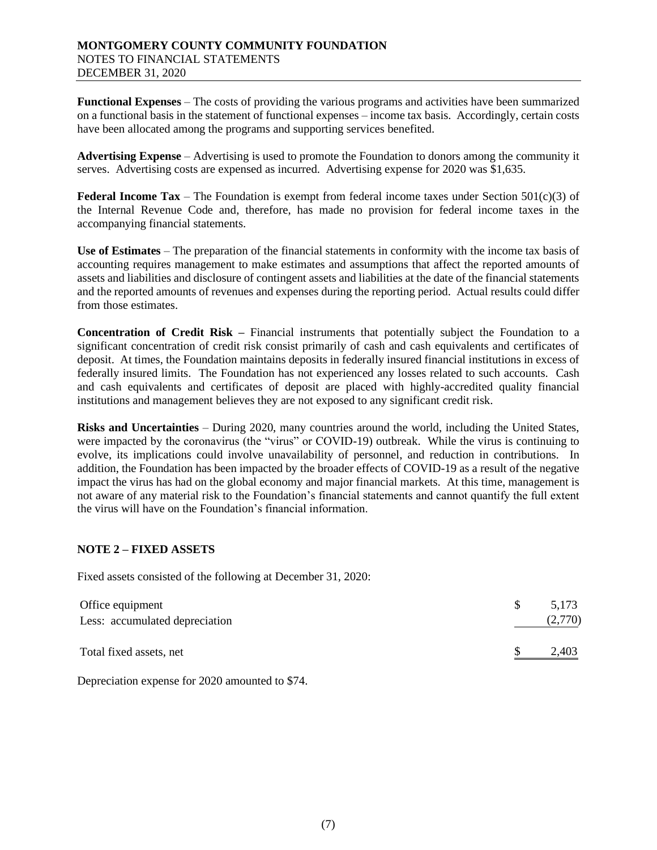**Functional Expenses** – The costs of providing the various programs and activities have been summarized on a functional basis in the statement of functional expenses – income tax basis. Accordingly, certain costs have been allocated among the programs and supporting services benefited.

**Advertising Expense** – Advertising is used to promote the Foundation to donors among the community it serves. Advertising costs are expensed as incurred. Advertising expense for 2020 was \$1,635.

**Federal Income Tax** – The Foundation is exempt from federal income taxes under Section 501(c)(3) of the Internal Revenue Code and, therefore, has made no provision for federal income taxes in the accompanying financial statements.

**Use of Estimates** – The preparation of the financial statements in conformity with the income tax basis of accounting requires management to make estimates and assumptions that affect the reported amounts of assets and liabilities and disclosure of contingent assets and liabilities at the date of the financial statements and the reported amounts of revenues and expenses during the reporting period. Actual results could differ from those estimates.

**Concentration of Credit Risk –** Financial instruments that potentially subject the Foundation to a significant concentration of credit risk consist primarily of cash and cash equivalents and certificates of deposit. At times, the Foundation maintains deposits in federally insured financial institutions in excess of federally insured limits. The Foundation has not experienced any losses related to such accounts. Cash and cash equivalents and certificates of deposit are placed with highly-accredited quality financial institutions and management believes they are not exposed to any significant credit risk.

**Risks and Uncertainties** – During 2020, many countries around the world, including the United States, were impacted by the coronavirus (the "virus" or COVID-19) outbreak. While the virus is continuing to evolve, its implications could involve unavailability of personnel, and reduction in contributions. In addition, the Foundation has been impacted by the broader effects of COVID-19 as a result of the negative impact the virus has had on the global economy and major financial markets. At this time, management is not aware of any material risk to the Foundation's financial statements and cannot quantify the full extent the virus will have on the Foundation's financial information.

## **NOTE 2 – FIXED ASSETS**

Fixed assets consisted of the following at December 31, 2020:

| Office equipment               | 5,173   |
|--------------------------------|---------|
| Less: accumulated depreciation | (2,770) |
| Total fixed assets, net        | 2,403   |

Depreciation expense for 2020 amounted to \$74.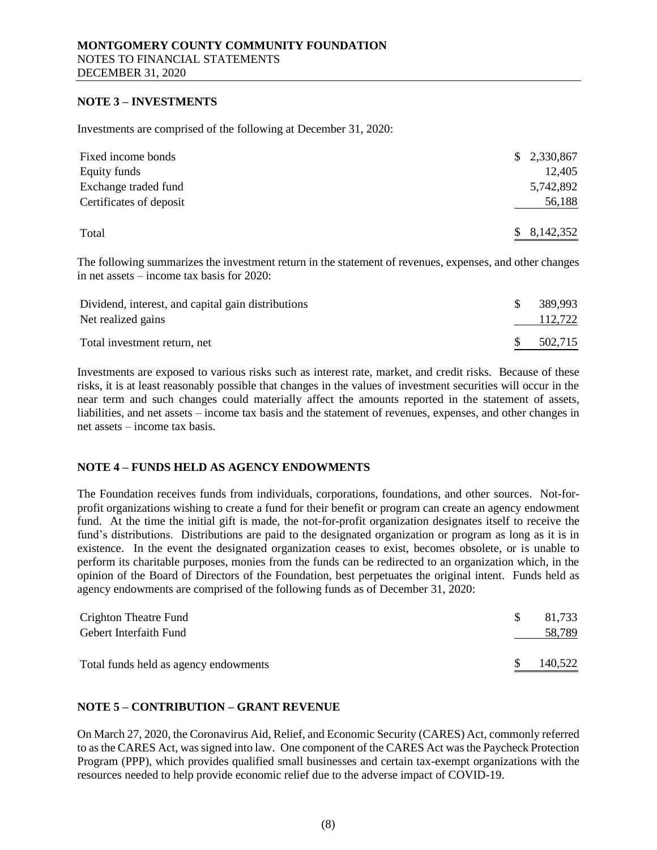#### **NOTE 3 – INVESTMENTS**

Investments are comprised of the following at December 31, 2020:

| Fixed income bonds<br>Equity funds | \$2,330,867<br>12,405 |
|------------------------------------|-----------------------|
| Exchange traded fund               | 5,742,892             |
| Certificates of deposit            | 56,188                |
| Total                              | 8,142,352             |

The following summarizes the investment return in the statement of revenues, expenses, and other changes in net assets – income tax basis for 2020:

| Dividend, interest, and capital gain distributions | <sup>\$</sup> | 389,993 |
|----------------------------------------------------|---------------|---------|
| Net realized gains                                 |               | 112.722 |
| Total investment return, net                       |               | 502,715 |

Investments are exposed to various risks such as interest rate, market, and credit risks. Because of these risks, it is at least reasonably possible that changes in the values of investment securities will occur in the near term and such changes could materially affect the amounts reported in the statement of assets, liabilities, and net assets – income tax basis and the statement of revenues, expenses, and other changes in net assets – income tax basis.

## **NOTE 4 – FUNDS HELD AS AGENCY ENDOWMENTS**

The Foundation receives funds from individuals, corporations, foundations, and other sources. Not-forprofit organizations wishing to create a fund for their benefit or program can create an agency endowment fund. At the time the initial gift is made, the not-for-profit organization designates itself to receive the fund's distributions. Distributions are paid to the designated organization or program as long as it is in existence. In the event the designated organization ceases to exist, becomes obsolete, or is unable to perform its charitable purposes, monies from the funds can be redirected to an organization which, in the opinion of the Board of Directors of the Foundation, best perpetuates the original intent. Funds held as agency endowments are comprised of the following funds as of December 31, 2020:

| Crighton Theatre Fund                 | <sup>\$</sup> | 81,733  |
|---------------------------------------|---------------|---------|
| Gebert Interfaith Fund                |               | 58.789  |
|                                       |               |         |
| Total funds held as agency endowments |               | 140,522 |

#### **NOTE 5 – CONTRIBUTION – GRANT REVENUE**

On March 27, 2020, the Coronavirus Aid, Relief, and Economic Security (CARES) Act, commonly referred to as the CARES Act, was signed into law. One component of the CARES Act was the Paycheck Protection Program (PPP), which provides qualified small businesses and certain tax-exempt organizations with the resources needed to help provide economic relief due to the adverse impact of COVID-19.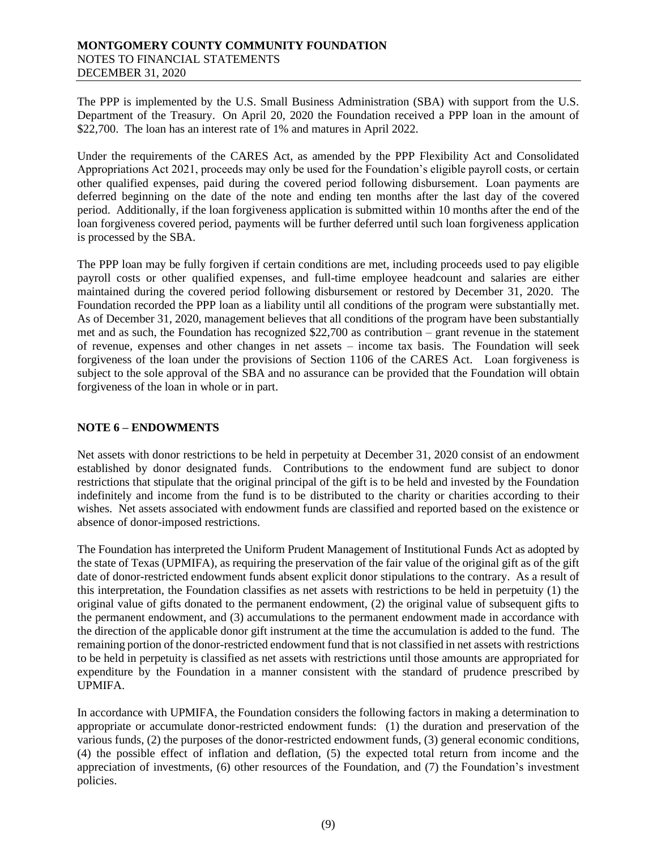## **MONTGOMERY COUNTY COMMUNITY FOUNDATION** NOTES TO FINANCIAL STATEMENTS DECEMBER 31, 2020

The PPP is implemented by the U.S. Small Business Administration (SBA) with support from the U.S. Department of the Treasury. On April 20, 2020 the Foundation received a PPP loan in the amount of \$22,700. The loan has an interest rate of 1% and matures in April 2022.

Under the requirements of the CARES Act, as amended by the PPP Flexibility Act and Consolidated Appropriations Act 2021, proceeds may only be used for the Foundation's eligible payroll costs, or certain other qualified expenses, paid during the covered period following disbursement. Loan payments are deferred beginning on the date of the note and ending ten months after the last day of the covered period. Additionally, if the loan forgiveness application is submitted within 10 months after the end of the loan forgiveness covered period, payments will be further deferred until such loan forgiveness application is processed by the SBA.

The PPP loan may be fully forgiven if certain conditions are met, including proceeds used to pay eligible payroll costs or other qualified expenses, and full-time employee headcount and salaries are either maintained during the covered period following disbursement or restored by December 31, 2020. The Foundation recorded the PPP loan as a liability until all conditions of the program were substantially met. As of December 31, 2020, management believes that all conditions of the program have been substantially met and as such, the Foundation has recognized \$22,700 as contribution – grant revenue in the statement of revenue, expenses and other changes in net assets – income tax basis. The Foundation will seek forgiveness of the loan under the provisions of Section 1106 of the CARES Act. Loan forgiveness is subject to the sole approval of the SBA and no assurance can be provided that the Foundation will obtain forgiveness of the loan in whole or in part.

## **NOTE 6 – ENDOWMENTS**

Net assets with donor restrictions to be held in perpetuity at December 31, 2020 consist of an endowment established by donor designated funds. Contributions to the endowment fund are subject to donor restrictions that stipulate that the original principal of the gift is to be held and invested by the Foundation indefinitely and income from the fund is to be distributed to the charity or charities according to their wishes. Net assets associated with endowment funds are classified and reported based on the existence or absence of donor-imposed restrictions.

The Foundation has interpreted the Uniform Prudent Management of Institutional Funds Act as adopted by the state of Texas (UPMIFA), as requiring the preservation of the fair value of the original gift as of the gift date of donor-restricted endowment funds absent explicit donor stipulations to the contrary. As a result of this interpretation, the Foundation classifies as net assets with restrictions to be held in perpetuity (1) the original value of gifts donated to the permanent endowment, (2) the original value of subsequent gifts to the permanent endowment, and (3) accumulations to the permanent endowment made in accordance with the direction of the applicable donor gift instrument at the time the accumulation is added to the fund. The remaining portion of the donor-restricted endowment fund that is not classified in net assets with restrictions to be held in perpetuity is classified as net assets with restrictions until those amounts are appropriated for expenditure by the Foundation in a manner consistent with the standard of prudence prescribed by UPMIFA.

In accordance with UPMIFA, the Foundation considers the following factors in making a determination to appropriate or accumulate donor-restricted endowment funds: (1) the duration and preservation of the various funds, (2) the purposes of the donor-restricted endowment funds, (3) general economic conditions, (4) the possible effect of inflation and deflation, (5) the expected total return from income and the appreciation of investments, (6) other resources of the Foundation, and (7) the Foundation's investment policies.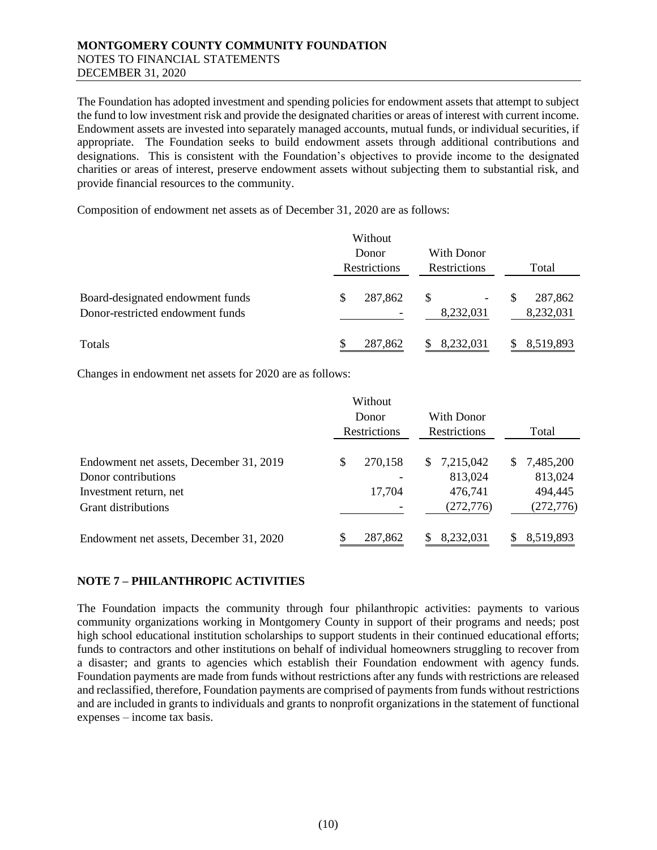The Foundation has adopted investment and spending policies for endowment assets that attempt to subject the fund to low investment risk and provide the designated charities or areas of interest with current income. Endowment assets are invested into separately managed accounts, mutual funds, or individual securities, if appropriate. The Foundation seeks to build endowment assets through additional contributions and designations. This is consistent with the Foundation's objectives to provide income to the designated charities or areas of interest, preserve endowment assets without subjecting them to substantial risk, and provide financial resources to the community.

Composition of endowment net assets as of December 31, 2020 are as follows:

|                                                                      | Without<br>Donor<br>Restrictions | With Donor<br>Restrictions                 | Total                |  |  |
|----------------------------------------------------------------------|----------------------------------|--------------------------------------------|----------------------|--|--|
| Board-designated endowment funds<br>Donor-restricted endowment funds | 287,862<br>S                     | S<br>$\overline{\phantom{a}}$<br>8,232,031 | 287,862<br>8,232,031 |  |  |
| Totals                                                               | 287,862                          | 8,232,031                                  | 8,519,893            |  |  |

Changes in endowment net assets for 2020 are as follows:

|                                         |   | Without<br>Donor<br><b>Restrictions</b> |    | With Donor<br>Restrictions |     | Total      |
|-----------------------------------------|---|-----------------------------------------|----|----------------------------|-----|------------|
|                                         |   |                                         |    |                            |     |            |
| Endowment net assets, December 31, 2019 | S | 270,158                                 | S. | 7,215,042                  | \$. | 7,485,200  |
| Donor contributions                     |   |                                         |    | 813,024                    |     | 813,024    |
| Investment return, net                  |   | 17,704                                  |    | 476,741                    |     | 494,445    |
| <b>Grant distributions</b>              |   |                                         |    | (272, 776)                 |     | (272, 776) |
| Endowment net assets, December 31, 2020 |   | 287,862                                 |    | 8,232,031                  |     | 8,519,893  |

## **NOTE 7 – PHILANTHROPIC ACTIVITIES**

The Foundation impacts the community through four philanthropic activities: payments to various community organizations working in Montgomery County in support of their programs and needs; post high school educational institution scholarships to support students in their continued educational efforts; funds to contractors and other institutions on behalf of individual homeowners struggling to recover from a disaster; and grants to agencies which establish their Foundation endowment with agency funds. Foundation payments are made from funds without restrictions after any funds with restrictions are released and reclassified, therefore, Foundation payments are comprised of payments from funds without restrictions and are included in grants to individuals and grants to nonprofit organizations in the statement of functional expenses – income tax basis.